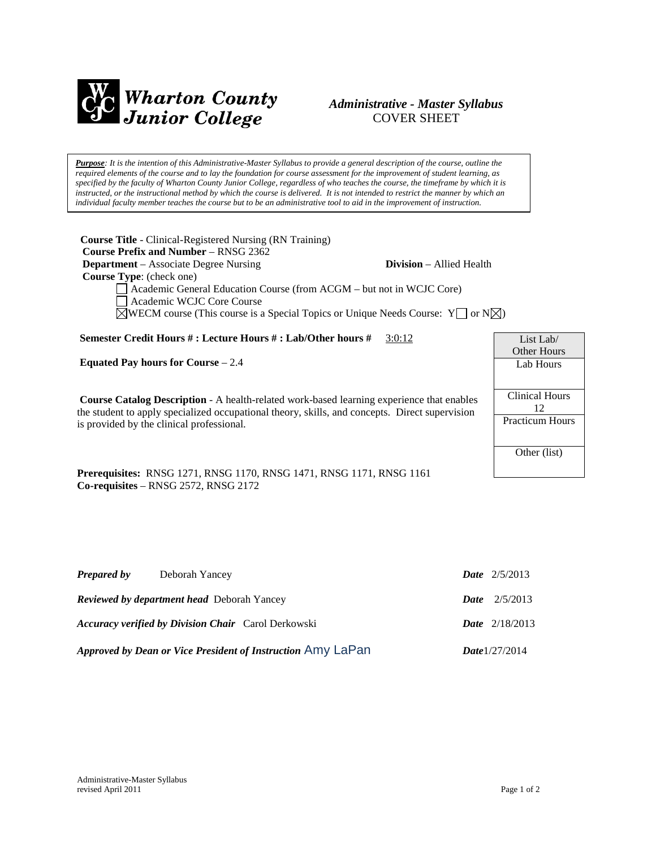

# *Administrative - Master Syllabus*  COVER SHEET

*Purpose: It is the intention of this Administrative-Master Syllabus to provide a general description of the course, outline the required elements of the course and to lay the foundation for course assessment for the improvement of student learning, as specified by the faculty of Wharton County Junior College, regardless of who teaches the course, the timeframe by which it is instructed, or the instructional method by which the course is delivered. It is not intended to restrict the manner by which an individual faculty member teaches the course but to be an administrative tool to aid in the improvement of instruction.*

**Course Title** - Clinical-Registered Nursing (RN Training)  **Course Prefix and Number** – RNSG 2362 **Department** – Associate Degree Nursing **Division** – Allied Health  **Course Type**: (check one) Academic General Education Course (from ACGM – but not in WCJC Core) Academic WCJC Core Course  $\boxtimes$ WECM course (This course is a Special Topics or Unique Needs Course: Y  $\Box$  or N $\boxtimes$ )

**Semester Credit Hours # : Lecture Hours # : Lab/Other hours #** 3:0:12

**Equated Pay hours for Course** – 2.4

**Course Catalog Description** - A health-related work-based learning experience that enables the student to apply specialized occupational theory, skills, and concepts. Direct supervision is provided by the clinical professional.

List Lab/ Other Hours Lab Hours Clinical Hours 12 Practicum Hours Other (list)

**Prerequisites:** RNSG 1271, RNSG 1170, RNSG 1471, RNSG 1171, RNSG 1161 **Co-requisites** – RNSG 2572, RNSG 2172

| Prepared by                                                 | Deborah Yancey                                             |                  | <b>Date</b> $2/5/2013$  |
|-------------------------------------------------------------|------------------------------------------------------------|------------------|-------------------------|
| <b>Reviewed by department head</b> Deborah Yancey           |                                                            |                  | <b>Date</b> $2/5/2013$  |
|                                                             | <b>Accuracy verified by Division Chair</b> Carol Derkowski |                  | <b>Date</b> $2/18/2013$ |
| Approved by Dean or Vice President of Instruction Amy LaPan |                                                            | Date $1/27/2014$ |                         |